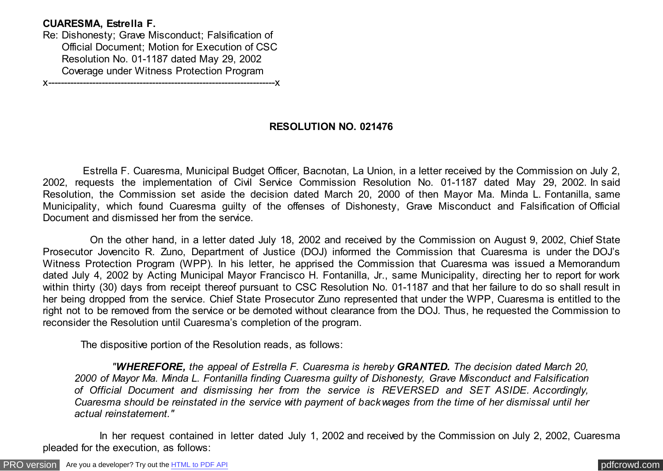## **CUARESMA, Estrella F.**

Re: Dishonesty; Grave Misconduct; Falsification of Official Document; Motion for Execution of CSC Resolution No. 01-1187 dated May 29, 2002 Coverage under Witness Protection Program

x------------------------------------------------------------------------x

## **RESOLUTION NO. 021476**

 Estrella F. Cuaresma, Municipal Budget Officer, Bacnotan, La Union, in a letter received by the Commission on July 2, 2002, requests the implementation of Civil Service Commission Resolution No. 01-1187 dated May 29, 2002. In said Resolution, the Commission set aside the decision dated March 20, 2000 of then Mayor Ma. Minda L. Fontanilla, same Municipality, which found Cuaresma guilty of the offenses of Dishonesty, Grave Misconduct and Falsification of Official Document and dismissed her from the service.

 On the other hand, in a letter dated July 18, 2002 and received by the Commission on August 9, 2002, Chief State Prosecutor Jovencito R. Zuno, Department of Justice (DOJ) informed the Commission that Cuaresma is under the DOJ's Witness Protection Program (WPP). In his letter, he apprised the Commission that Cuaresma was issued a Memorandum dated July 4, 2002 by Acting Municipal Mayor Francisco H. Fontanilla, Jr., same Municipality, directing her to report for work within thirty (30) days from receipt thereof pursuant to CSC Resolution No. 01-1187 and that her failure to do so shall result in her being dropped from the service. Chief State Prosecutor Zuno represented that under the WPP, Cuaresma is entitled to the right not to be removed from the service or be demoted without clearance from the DOJ. Thus, he requested the Commission to reconsider the Resolution until Cuaresma's completion of the program.

The dispositive portion of the Resolution reads, as follows:

 *"WHEREFORE, the appeal of Estrella F. Cuaresma is hereby GRANTED. The decision dated March 20, 2000 of Mayor Ma. Minda L. Fontanilla finding Cuaresma guilty of Dishonesty, Grave Misconduct and Falsification of Official Document and dismissing her from the service is REVERSED and SET ASIDE. Accordingly, Cuaresma should be reinstated in the service with payment of backwages from the time of her dismissal until her actual reinstatement."*

 In her request contained in letter dated July 1, 2002 and received by the Commission on July 2, 2002, Cuaresma pleaded for the execution, as follows:

[PRO version](http://pdfcrowd.com/customize/) Are you a developer? Try out th[e HTML to PDF API](http://pdfcrowd.com/html-to-pdf-api/?ref=pdf) process and the example of the HTML to PDF API [pdfcrowd.com](http://pdfcrowd.com)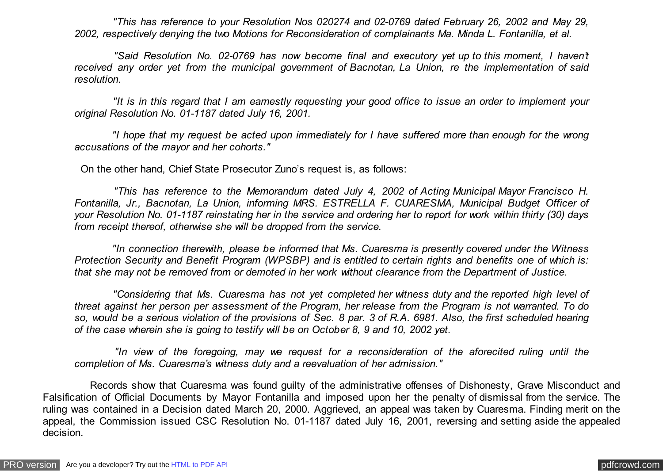*"This has reference to your Resolution Nos 020274 and 02-0769 dated February 26, 2002 and May 29, 2002, respectively denying the two Motions for Reconsideration of complainants Ma. Minda L. Fontanilla, et al.*

 *"Said Resolution No. 02-0769 has now become final and executory yet up to this moment, I haven't received any order yet from the municipal government of Bacnotan, La Union, re the implementation of said resolution.*

 *"It is in this regard that I am earnestly requesting your good office to issue an order to implement your original Resolution No. 01-1187 dated July 16, 2001.*

 *"I hope that my request be acted upon immediately for I have suffered more than enough for the wrong accusations of the mayor and her cohorts."*

On the other hand, Chief State Prosecutor Zuno's request is, as follows:

 *"This has reference to the Memorandum dated July 4, 2002 of Acting Municipal Mayor Francisco H. Fontanilla, Jr., Bacnotan, La Union, informing MRS. ESTRELLA F. CUARESMA, Municipal Budget Officer of your Resolution No. 01-1187 reinstating her in the service and ordering her to report for work within thirty (30) days from receipt thereof, otherwise she will be dropped from the service.*

 *"In connection therewith, please be informed that Ms. Cuaresma is presently covered under the Witness Protection Security and Benefit Program (WPSBP) and is entitled to certain rights and benefits one of which is: that she may not be removed from or demoted in her work without clearance from the Department of Justice.*

 *"Considering that Ms. Cuaresma has not yet completed her witness duty and the reported high level of threat against her person per assessment of the Program, her release from the Program is not warranted. To do so, would be a serious violation of the provisions of Sec. 8 par. 3 of R.A. 6981. Also, the first scheduled hearing of the case wherein she is going to testify will be on October 8, 9 and 10, 2002 yet.*

 *"In view of the foregoing, may we request for a reconsideration of the aforecited ruling until the completion of Ms. Cuaresma's witness duty and a reevaluation of her admission."*

 Records show that Cuaresma was found guilty of the administrative offenses of Dishonesty, Grave Misconduct and Falsification of Official Documents by Mayor Fontanilla and imposed upon her the penalty of dismissal from the service. The ruling was contained in a Decision dated March 20, 2000. Aggrieved, an appeal was taken by Cuaresma. Finding merit on the appeal, the Commission issued CSC Resolution No. 01-1187 dated July 16, 2001, reversing and setting aside the appealed decision.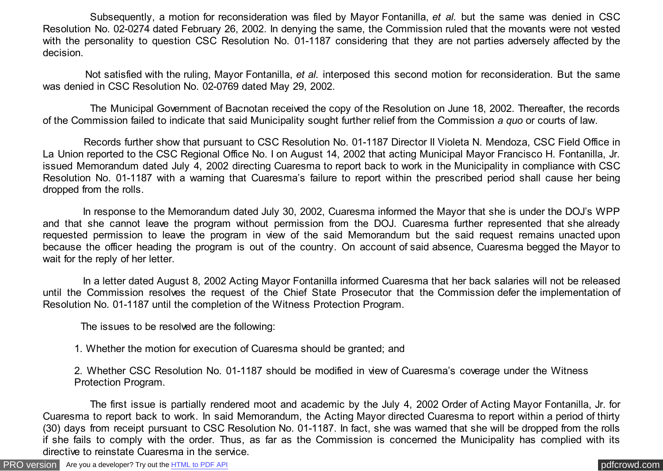Subsequently, a motion for reconsideration was filed by Mayor Fontanilla, *et al.* but the same was denied in CSC Resolution No. 02-0274 dated February 26, 2002. In denying the same, the Commission ruled that the movants were not vested with the personality to question CSC Resolution No. 01-1187 considering that they are not parties adversely affected by the decision.

 Not satisfied with the ruling, Mayor Fontanilla, *et al.* interposed this second motion for reconsideration. But the same was denied in CSC Resolution No. 02-0769 dated May 29, 2002.

 The Municipal Government of Bacnotan received the copy of the Resolution on June 18, 2002. Thereafter, the records of the Commission failed to indicate that said Municipality sought further relief from the Commission *a quo* or courts of law.

 Records further show that pursuant to CSC Resolution No. 01-1187 Director II Violeta N. Mendoza, CSC Field Office in La Union reported to the CSC Regional Office No. I on August 14, 2002 that acting Municipal Mayor Francisco H. Fontanilla, Jr. issued Memorandum dated July 4, 2002 directing Cuaresma to report back to work in the Municipality in compliance with CSC Resolution No. 01-1187 with a warning that Cuaresma's failure to report within the prescribed period shall cause her being dropped from the rolls.

 In response to the Memorandum dated July 30, 2002, Cuaresma informed the Mayor that she is under the DOJ's WPP and that she cannot leave the program without permission from the DOJ. Cuaresma further represented that she already requested permission to leave the program in view of the said Memorandum but the said request remains unacted upon because the officer heading the program is out of the country. On account of said absence, Cuaresma begged the Mayor to wait for the reply of her letter.

 In a letter dated August 8, 2002 Acting Mayor Fontanilla informed Cuaresma that her back salaries will not be released until the Commission resolves the request of the Chief State Prosecutor that the Commission defer the implementation of Resolution No. 01-1187 until the completion of the Witness Protection Program.

The issues to be resolved are the following:

1. Whether the motion for execution of Cuaresma should be granted; and

2. Whether CSC Resolution No. 01-1187 should be modified in view of Cuaresma's coverage under the Witness Protection Program.

 The first issue is partially rendered moot and academic by the July 4, 2002 Order of Acting Mayor Fontanilla, Jr. for Cuaresma to report back to work. In said Memorandum, the Acting Mayor directed Cuaresma to report within a period of thirty (30) days from receipt pursuant to CSC Resolution No. 01-1187. In fact, she was warned that she will be dropped from the rolls if she fails to comply with the order. Thus, as far as the Commission is concerned the Municipality has complied with its directive to reinstate Cuaresma in the service.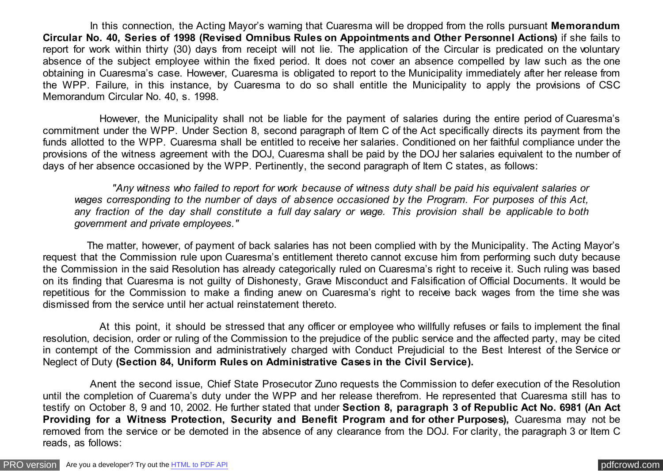In this connection, the Acting Mayor's warning that Cuaresma will be dropped from the rolls pursuant **Memorandum Circular No. 40, Series of 1998 (Revised Omnibus Rules on Appointments and Other Personnel Actions)** if she fails to report for work within thirty (30) days from receipt will not lie. The application of the Circular is predicated on the voluntary absence of the subject employee within the fixed period. It does not cover an absence compelled by law such as the one obtaining in Cuaresma's case. However, Cuaresma is obligated to report to the Municipality immediately after her release from the WPP. Failure, in this instance, by Cuaresma to do so shall entitle the Municipality to apply the provisions of CSC Memorandum Circular No. 40, s. 1998.

 However, the Municipality shall not be liable for the payment of salaries during the entire period of Cuaresma's commitment under the WPP. Under Section 8, second paragraph of Item C of the Act specifically directs its payment from the funds allotted to the WPP. Cuaresma shall be entitled to receive her salaries. Conditioned on her faithful compliance under the provisions of the witness agreement with the DOJ, Cuaresma shall be paid by the DOJ her salaries equivalent to the number of days of her absence occasioned by the WPP. Pertinently, the second paragraph of Item C states, as follows:

 *"Any witness who failed to report for work because of witness duty shall be paid his equivalent salaries or wages corresponding to the number of days of absence occasioned by the Program. For purposes of this Act, any fraction of the day shall constitute a full day salary or wage. This provision shall be applicable to both government and private employees."*

 The matter, however, of payment of back salaries has not been complied with by the Municipality. The Acting Mayor's request that the Commission rule upon Cuaresma's entitlement thereto cannot excuse him from performing such duty because the Commission in the said Resolution has already categorically ruled on Cuaresma's right to receive it. Such ruling was based on its finding that Cuaresma is not guilty of Dishonesty, Grave Misconduct and Falsification of Official Documents. It would be repetitious for the Commission to make a finding anew on Cuaresma's right to receive back wages from the time she was dismissed from the service until her actual reinstatement thereto.

 At this point, it should be stressed that any officer or employee who willfully refuses or fails to implement the final resolution, decision, order or ruling of the Commission to the prejudice of the public service and the affected party, may be cited in contempt of the Commission and administratively charged with Conduct Prejudicial to the Best Interest of the Service or Neglect of Duty **(Section 84, Uniform Rules on Administrative Cases in the Civil Service).**

 Anent the second issue, Chief State Prosecutor Zuno requests the Commission to defer execution of the Resolution until the completion of Cuarema's duty under the WPP and her release therefrom. He represented that Cuaresma still has to testify on October 8, 9 and 10, 2002. He further stated that under **Section 8, paragraph 3 of Republic Act No. 6981 (An Act Providing for a Witness Protection, Security and Benefit Program and for other Purposes),** Cuaresma may not be removed from the service or be demoted in the absence of any clearance from the DOJ. For clarity, the paragraph 3 or Item C reads, as follows: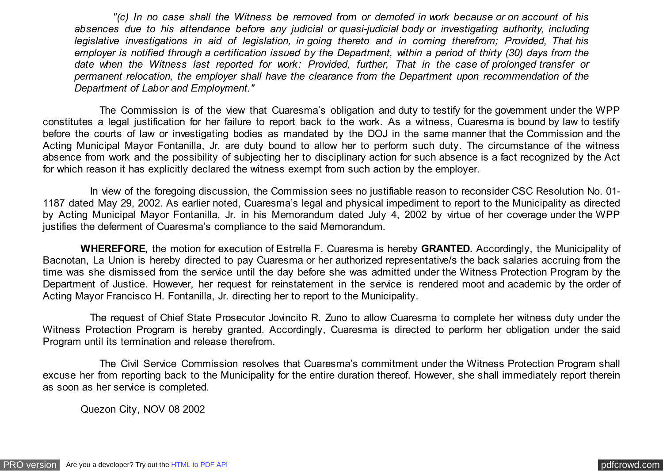*"(c) In no case shall the Witness be removed from or demoted in work because or on account of his absences due to his attendance before any judicial or quasi-judicial body or investigating authority, including legislative investigations in aid of legislation, in going thereto and in coming therefrom; Provided, That his employer is notified through a certification issued by the Department, within a period of thirty (30) days from the date when the Witness last reported for work: Provided, further, That in the case of prolonged transfer or permanent relocation, the employer shall have the clearance from the Department upon recommendation of the Department of Labor and Employment."*

 The Commission is of the view that Cuaresma's obligation and duty to testify for the government under the WPP constitutes a legal justification for her failure to report back to the work. As a witness, Cuaresma is bound by law to testify before the courts of law or investigating bodies as mandated by the DOJ in the same manner that the Commission and the Acting Municipal Mayor Fontanilla, Jr. are duty bound to allow her to perform such duty. The circumstance of the witness absence from work and the possibility of subjecting her to disciplinary action for such absence is a fact recognized by the Act for which reason it has explicitly declared the witness exempt from such action by the employer.

 In view of the foregoing discussion, the Commission sees no justifiable reason to reconsider CSC Resolution No. 01- 1187 dated May 29, 2002. As earlier noted, Cuaresma's legal and physical impediment to report to the Municipality as directed by Acting Municipal Mayor Fontanilla, Jr. in his Memorandum dated July 4, 2002 by virtue of her coverage under the WPP justifies the deferment of Cuaresma's compliance to the said Memorandum.

 **WHEREFORE,** the motion for execution of Estrella F. Cuaresma is hereby **GRANTED.** Accordingly, the Municipality of Bacnotan, La Union is hereby directed to pay Cuaresma or her authorized representative/s the back salaries accruing from the time was she dismissed from the service until the day before she was admitted under the Witness Protection Program by the Department of Justice. However, her request for reinstatement in the service is rendered moot and academic by the order of Acting Mayor Francisco H. Fontanilla, Jr. directing her to report to the Municipality.

 The request of Chief State Prosecutor Jovincito R. Zuno to allow Cuaresma to complete her witness duty under the Witness Protection Program is hereby granted. Accordingly, Cuaresma is directed to perform her obligation under the said Program until its termination and release therefrom.

 The Civil Service Commission resolves that Cuaresma's commitment under the Witness Protection Program shall excuse her from reporting back to the Municipality for the entire duration thereof. However, she shall immediately report therein as soon as her service is completed.

Quezon City, NOV 08 2002